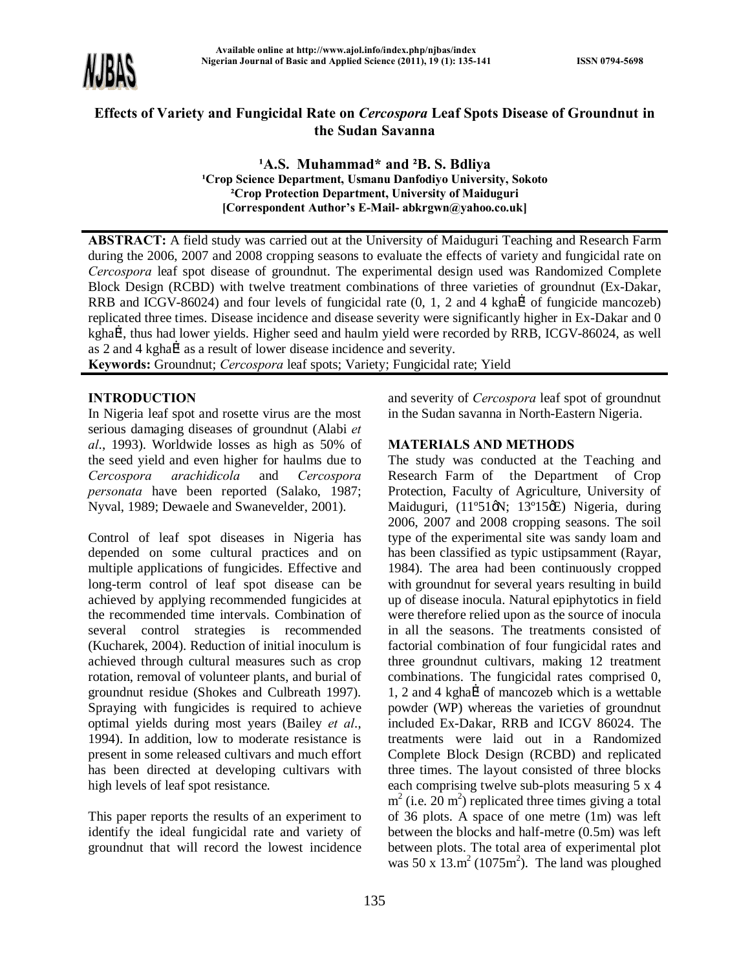

# **Effects of Variety and Fungicidal Rate on** *Cercospora* **Leaf Spots Disease of Groundnut in the Sudan Savanna**

<sup>1</sup>A.S. Muhammad\* and <sup>2</sup>B. S. Bdliya <sup>1</sup>Crop Science Department, Usmanu Danfodiyo University, Sokoto **²Crop Protection Department, University of Maiduguri [Correspondent Author's E-Mail- abkrgwn@yahoo.co.uk]**

**ABSTRACT:** A field study was carried out at the University of Maiduguri Teaching and Research Farm during the 2006, 2007 and 2008 cropping seasons to evaluate the effects of variety and fungicidal rate on *Cercospora* leaf spot disease of groundnut. The experimental design used was Randomized Complete Block Design (RCBD) with twelve treatment combinations of three varieties of groundnut (Ex-Dakar, RRB and ICGV-86024) and four levels of fungicidal rate  $(0, 1, 2, 2, 4)$  and 4 kgha<sup>1</sup> of fungicide mancozeb) replicated three times. Disease incidence and disease severity were significantly higher in Ex-Dakar and 0 kgha,<sup>1</sup>, thus had lower yields. Higher seed and haulm yield were recorded by RRB, ICGV-86024, as well as 2 and 4 kgha,<sup>1</sup> as a result of lower disease incidence and severity.

**Keywords:** Groundnut; *Cercospora* leaf spots; Variety; Fungicidal rate; Yield

## **INTRODUCTION**

In Nigeria leaf spot and rosette virus are the most serious damaging diseases of groundnut (Alabi *et al*., 1993). Worldwide losses as high as 50% of the seed yield and even higher for haulms due to *Cercospora arachidicola* and *Cercospora personata* have been reported (Salako, 1987; Nyval, 1989; Dewaele and Swanevelder, 2001).

Control of leaf spot diseases in Nigeria has depended on some cultural practices and on multiple applications of fungicides. Effective and long-term control of leaf spot disease can be achieved by applying recommended fungicides at the recommended time intervals. Combination of several control strategies is recommended (Kucharek, 2004). Reduction of initial inoculum is achieved through cultural measures such as crop rotation, removal of volunteer plants, and burial of groundnut residue (Shokes and Culbreath 1997). Spraying with fungicides is required to achieve optimal yields during most years (Bailey *et al*., 1994). In addition, low to moderate resistance is present in some released cultivars and much effort has been directed at developing cultivars with high levels of leaf spot resistance.

This paper reports the results of an experiment to identify the ideal fungicidal rate and variety of groundnut that will record the lowest incidence

and severity of *Cercospora* leaf spot of groundnut in the Sudan savanna in North-Eastern Nigeria.

## **MATERIALS AND METHODS**

The study was conducted at the Teaching and Research Farm of the Department of Crop Protection, Faculty of Agriculture, University of Maiduguri, (11°51¢N; 13°15¢E) Nigeria, during 2006, 2007 and 2008 cropping seasons. The soil type of the experimental site was sandy loam and has been classified as typic ustipsamment (Rayar, 1984). The area had been continuously cropped with groundnut for several years resulting in build up of disease inocula. Natural epiphytotics in field were therefore relied upon as the source of inocula in all the seasons. The treatments consisted of factorial combination of four fungicidal rates and three groundnut cultivars, making 12 treatment combinations. The fungicidal rates comprised 0,  $1, 2$  and  $4$  kgha, $1$  of mancozeb which is a wettable powder (WP) whereas the varieties of groundnut included Ex-Dakar, RRB and ICGV 86024. The treatments were laid out in a Randomized Complete Block Design (RCBD) and replicated three times. The layout consisted of three blocks each comprising twelve sub-plots measuring 5 x 4  $m<sup>2</sup>$  (i.e. 20 m<sup>2</sup>) replicated three times giving a total of 36 plots. A space of one metre (1m) was left between the blocks and half-metre (0.5m) was left between plots. The total area of experimental plot was  $50 \times 13.m^2 (1075m^2)$ . The land was ploughed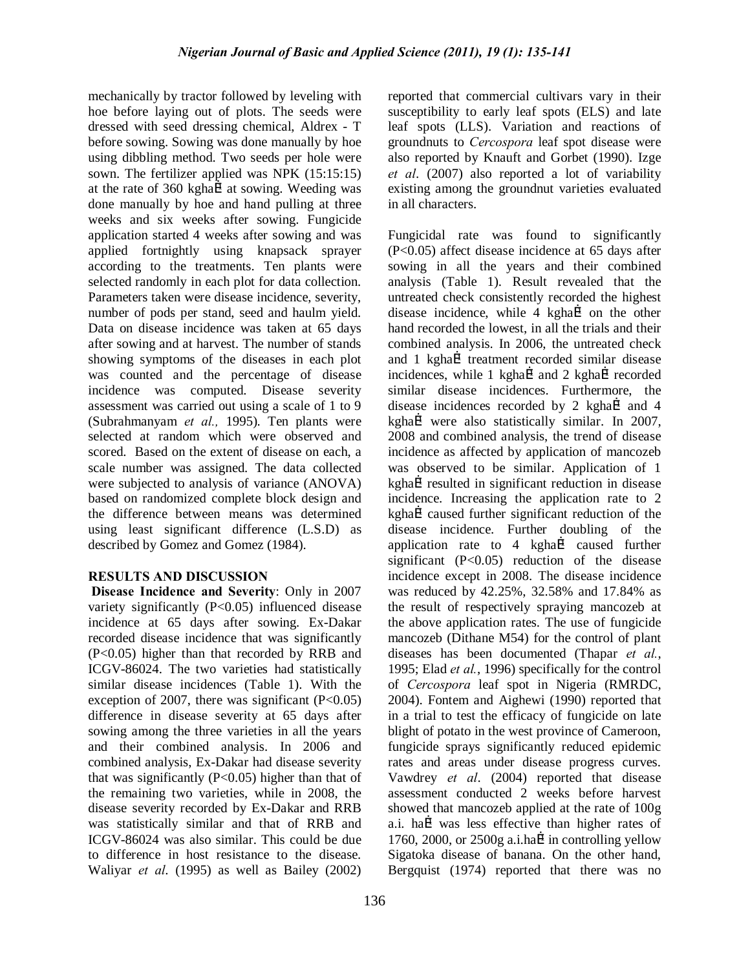mechanically by tractor followed by leveling with hoe before laying out of plots. The seeds were dressed with seed dressing chemical, Aldrex - T before sowing. Sowing was done manually by hoe using dibbling method. Two seeds per hole were sown. The fertilizer applied was NPK (15:15:15) at the rate of  $360 \text{ kgha}$ , at sowing. Weeding was done manually by hoe and hand pulling at three weeks and six weeks after sowing. Fungicide application started 4 weeks after sowing and was applied fortnightly using knapsack sprayer according to the treatments. Ten plants were selected randomly in each plot for data collection. Parameters taken were disease incidence, severity, number of pods per stand, seed and haulm yield. Data on disease incidence was taken at 65 days after sowing and at harvest. The number of stands showing symptoms of the diseases in each plot was counted and the percentage of disease incidence was computed. Disease severity assessment was carried out using a scale of 1 to 9 (Subrahmanyam *et al.,* 1995). Ten plants were selected at random which were observed and scored. Based on the extent of disease on each, a scale number was assigned. The data collected were subjected to analysis of variance (ANOVA) based on randomized complete block design and the difference between means was determined using least significant difference (L.S.D) as described by Gomez and Gomez (1984).

### **RESULTS AND DISCUSSION**

**Disease Incidence and Severity**: Only in 2007 variety significantly (P<0.05) influenced disease incidence at 65 days after sowing. Ex-Dakar recorded disease incidence that was significantly (P<0.05) higher than that recorded by RRB and ICGV-86024. The two varieties had statistically similar disease incidences (Table 1). With the exception of 2007, there was significant  $(P<0.05)$ difference in disease severity at 65 days after sowing among the three varieties in all the years and their combined analysis. In 2006 and combined analysis, Ex-Dakar had disease severity that was significantly  $(P<0.05)$  higher than that of the remaining two varieties, while in 2008, the disease severity recorded by Ex-Dakar and RRB was statistically similar and that of RRB and ICGV-86024 was also similar. This could be due to difference in host resistance to the disease. Waliyar *et al*. (1995) as well as Bailey (2002) reported that commercial cultivars vary in their susceptibility to early leaf spots (ELS) and late leaf spots (LLS). Variation and reactions of groundnuts to *Cercospora* leaf spot disease were also reported by Knauft and Gorbet (1990). Izge *et al*. (2007) also reported a lot of variability existing among the groundnut varieties evaluated in all characters.

Fungicidal rate was found to significantly (P<0.05) affect disease incidence at 65 days after sowing in all the years and their combined analysis (Table 1). Result revealed that the untreated check consistently recorded the highest disease incidence, while  $4 \text{ kgha}$ <sup>1</sup> on the other hand recorded the lowest, in all the trials and their combined analysis. In 2006, the untreated check and 1 kgha.<sup>1</sup> treatment recorded similar disease incidences, while  $1 \text{ kgha}$ <sup>1</sup> and  $2 \text{ kgha}$ <sup>1</sup> recorded similar disease incidences. Furthermore, the disease incidences recorded by 2 kgha, $\frac{1}{4}$  and 4  $kgha<sub>1</sub>$ <sup>1</sup> were also statistically similar. In 2007, 2008 and combined analysis, the trend of disease incidence as affected by application of mancozeb was observed to be similar. Application of 1 kgha,<sup>1</sup> resulted in significant reduction in disease incidence. Increasing the application rate to 2  $kgha<sub>1</sub>$  caused further significant reduction of the disease incidence. Further doubling of the application rate to  $4$  kgha,<sup>1</sup> caused further significant  $(P<0.05)$  reduction of the disease incidence except in 2008. The disease incidence was reduced by 42.25%, 32.58% and 17.84% as the result of respectively spraying mancozeb at the above application rates. The use of fungicide mancozeb (Dithane M54) for the control of plant diseases has been documented (Thapar *et al.*, 1995; Elad *et al.*, 1996) specifically for the control of *Cercospora* leaf spot in Nigeria (RMRDC, 2004). Fontem and Aighewi (1990) reported that in a trial to test the efficacy of fungicide on late blight of potato in the west province of Cameroon, fungicide sprays significantly reduced epidemic rates and areas under disease progress curves. Vawdrey *et al*. (2004) reported that disease assessment conducted 2 weeks before harvest showed that mancozeb applied at the rate of 100g a.i. ha.<sup>1</sup> was less effective than higher rates of 1760, 2000, or  $2500g$  a.i.ha,<sup>1</sup> in controlling yellow Sigatoka disease of banana. On the other hand, Bergquist (1974) reported that there was no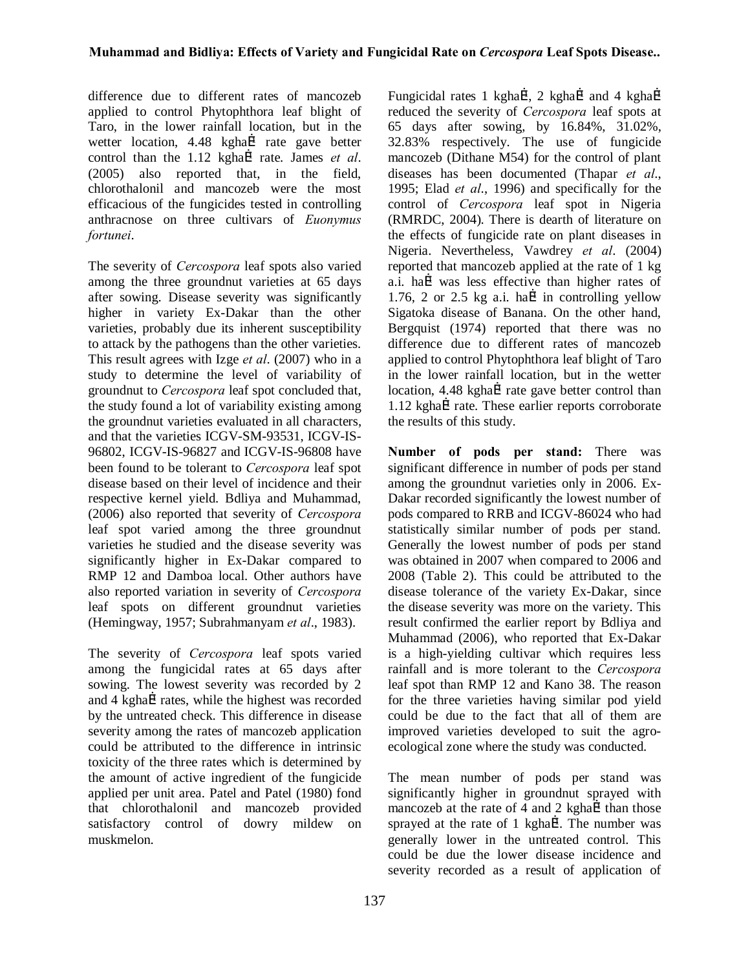difference due to different rates of mancozeb applied to control Phytophthora leaf blight of Taro, in the lower rainfall location, but in the wetter location, 4.48 kgha,<sup>1</sup> rate gave better control than the 1.12 kgha,<sup>1</sup> rate. James *et al.* (2005) also reported that, in the field, chlorothalonil and mancozeb were the most efficacious of the fungicides tested in controlling anthracnose on three cultivars of *Euonymus fortunei*.

The severity of *Cercospora* leaf spots also varied among the three groundnut varieties at 65 days after sowing. Disease severity was significantly higher in variety Ex-Dakar than the other varieties, probably due its inherent susceptibility to attack by the pathogens than the other varieties. This result agrees with Izge *et al*. (2007) who in a study to determine the level of variability of groundnut to *Cercospora* leaf spot concluded that, the study found a lot of variability existing among the groundnut varieties evaluated in all characters, and that the varieties ICGV-SM-93531, ICGV-IS-96802, ICGV-IS-96827 and ICGV-IS-96808 have been found to be tolerant to *Cercospora* leaf spot disease based on their level of incidence and their respective kernel yield. Bdliya and Muhammad, (2006) also reported that severity of *Cercospora* leaf spot varied among the three groundnut varieties he studied and the disease severity was significantly higher in Ex-Dakar compared to RMP 12 and Damboa local. Other authors have also reported variation in severity of *Cercospora* leaf spots on different groundnut varieties (Hemingway, 1957; Subrahmanyam *et al*., 1983).

The severity of *Cercospora* leaf spots varied among the fungicidal rates at 65 days after sowing. The lowest severity was recorded by 2 and 4 kgha,<sup>1</sup> rates, while the highest was recorded by the untreated check. This difference in disease severity among the rates of mancozeb application could be attributed to the difference in intrinsic toxicity of the three rates which is determined by the amount of active ingredient of the fungicide applied per unit area. Patel and Patel (1980) fond that chlorothalonil and mancozeb provided satisfactory control of dowry mildew on muskmelon.

Fungicidal rates 1 kgha,<sup>1</sup>, 2 kgha,<sup>1</sup> and 4 kgha,<sup>1</sup> reduced the severity of *Cercospora* leaf spots at 65 days after sowing, by 16.84%, 31.02%, 32.83% respectively. The use of fungicide mancozeb (Dithane M54) for the control of plant diseases has been documented (Thapar *et al*., 1995; Elad *et al*., 1996) and specifically for the control of *Cercospora* leaf spot in Nigeria (RMRDC, 2004). There is dearth of literature on the effects of fungicide rate on plant diseases in Nigeria. Nevertheless, Vawdrey *et al*. (2004) reported that mancozeb applied at the rate of 1 kg a.i. ha $\cdot$ <sup>1</sup> was less effective than higher rates of 1.76, 2 or 2.5 kg a.i. ha,<sup>1</sup> in controlling yellow Sigatoka disease of Banana. On the other hand, Bergquist (1974) reported that there was no difference due to different rates of mancozeb applied to control Phytophthora leaf blight of Taro in the lower rainfall location, but in the wetter location, 4.48 kgha,<sup>1</sup> rate gave better control than  $1.12$  kgha $\cdot$ <sup>1</sup> rate. These earlier reports corroborate the results of this study.

**Number of pods per stand:** There was significant difference in number of pods per stand among the groundnut varieties only in 2006. Ex-Dakar recorded significantly the lowest number of pods compared to RRB and ICGV-86024 who had statistically similar number of pods per stand. Generally the lowest number of pods per stand was obtained in 2007 when compared to 2006 and 2008 (Table 2). This could be attributed to the disease tolerance of the variety Ex-Dakar, since the disease severity was more on the variety. This result confirmed the earlier report by Bdliya and Muhammad (2006), who reported that Ex-Dakar is a high-yielding cultivar which requires less rainfall and is more tolerant to the *Cercospora* leaf spot than RMP 12 and Kano 38. The reason for the three varieties having similar pod yield could be due to the fact that all of them are improved varieties developed to suit the agroecological zone where the study was conducted.

The mean number of pods per stand was significantly higher in groundnut sprayed with mancozeb at the rate of  $4$  and  $2$  kgha, $<sup>1</sup>$  than those</sup> sprayed at the rate of 1 kgha $\cdot$ . The number was generally lower in the untreated control. This could be due the lower disease incidence and severity recorded as a result of application of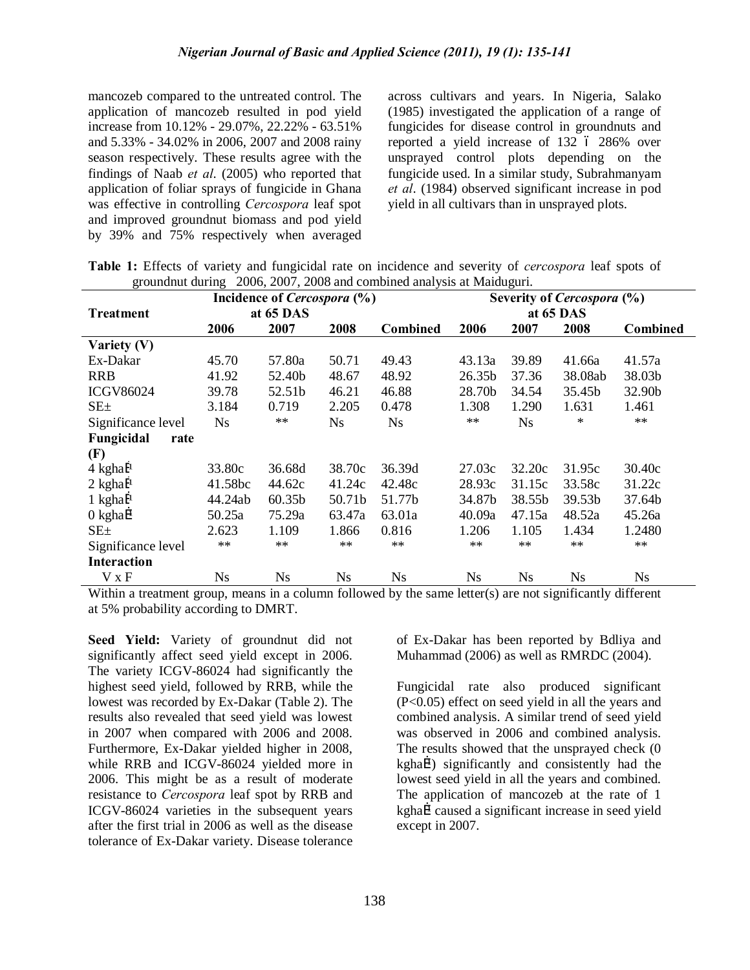mancozeb compared to the untreated control. The application of mancozeb resulted in pod yield increase from 10.12% - 29.07%, 22.22% - 63.51% and 5.33% - 34.02% in 2006, 2007 and 2008 rainy season respectively. These results agree with the findings of Naab *et al*. (2005) who reported that application of foliar sprays of fungicide in Ghana was effective in controlling *Cercospora* leaf spot and improved groundnut biomass and pod yield by 39% and 75% respectively when averaged across cultivars and years. In Nigeria, Salako (1985) investigated the application of a range of fungicides for disease control in groundnuts and reported a yield increase of 132 ó 286% over unsprayed control plots depending on the fungicide used. In a similar study, Subrahmanyam *et al*. (1984) observed significant increase in pod yield in all cultivars than in unsprayed plots.

| groundnut during 2006, 2007, 2008 and combined analysis at Maiduguri. |  | Table 1: Effects of variety and fungicidal rate on incidence and severity of <i>cercospora</i> leaf spots of |
|-----------------------------------------------------------------------|--|--------------------------------------------------------------------------------------------------------------|
|                                                                       |  |                                                                                                              |

|                         | Incidence of Cercospora (%) |              |             |                 | Severity of Cercospora (%)<br>at 65 DAS |           |                |                 |  |
|-------------------------|-----------------------------|--------------|-------------|-----------------|-----------------------------------------|-----------|----------------|-----------------|--|
| <b>Treatment</b>        | at 65 DAS                   |              |             |                 |                                         |           |                |                 |  |
|                         | 2006                        | 2007         | 2008        | <b>Combined</b> | 2006                                    | 2007      | 2008           | <b>Combined</b> |  |
| Variety $(V)$           |                             |              |             |                 |                                         |           |                |                 |  |
| Ex-Dakar                | 45.70                       | 57.80a       | 50.71       | 49.43           | 43.13a                                  | 39.89     | 41.66a         | 41.57a          |  |
| <b>RRB</b>              | 41.92                       | 52.40b       | 48.67       | 48.92           | 26.35b                                  | 37.36     | 38.08ab        | 38.03b          |  |
| <b>ICGV86024</b>        | 39.78                       | 52.51b       | 46.21       | 46.88           | 28.70b                                  | 34.54     | 35.45b         | 32.90b          |  |
| $SE_{\pm}$              | 3.184                       | 0.719        | 2.205       | 0.478           | 1.308                                   | 1.290     | 1.631          | 1.461           |  |
| Significance level      | <b>Ns</b>                   | $**$         | <b>Ns</b>   | <b>Ns</b>       | $**$                                    | <b>Ns</b> | $\ast$         | $**$            |  |
| Fungicidal<br>rate      |                             |              |             |                 |                                         |           |                |                 |  |
| (F)                     |                             |              |             |                 |                                         |           |                |                 |  |
| $4$ kgha, $1$           | 33.80c                      | 36.68d       | 38.70c      | 36.39d          | 27.03c                                  | 32.20c    | 31.95c         | 30.40c          |  |
| $2$ kgha, $\frac{1}{2}$ | 41.58bc                     | 44.62c       | 41.24c      | 42.48c          | 28.93c                                  | 31.15c    | 33.58c         | 31.22c          |  |
| 1 kgha, $\frac{1}{2}$   | 44.24ab                     | 60.35b       | 50.71b      | 51.77b          | 34.87b                                  | 38.55b    | 39.53b         | 37.64b          |  |
| $0 \text{ kgha}$ ,      | 50.25a                      | 75.29a       | 63.47a      | 63.01a          | 40.09a                                  | 47.15a    | 48.52a         | 45.26a          |  |
| $SE_{\pm}$              | 2.623                       | 1.109        | 1.866       | 0.816           | 1.206                                   | 1.105     | 1.434          | 1.2480          |  |
| Significance level      | $**$                        | ∗∗           | $**$        | $**$            | $**$                                    | $**$      | $**$           | $**$            |  |
| <b>Interaction</b>      |                             |              |             |                 |                                         |           |                |                 |  |
| $V \times F$            | <b>Ns</b>                   | <b>Ns</b>    | $N_{\rm S}$ | <b>Ns</b>       | N <sub>S</sub>                          | <b>Ns</b> | <b>Ns</b>      | <b>Ns</b>       |  |
| $X \times Y$            |                             | $\mathbf{1}$ | 0.11        | 11.1            | $\sim$                                  |           | $\cdot$ $\sim$ | 1!00            |  |

Within a treatment group, means in a column followed by the same letter(s) are not significantly different at 5% probability according to DMRT.

**Seed Yield:** Variety of groundnut did not significantly affect seed yield except in 2006. The variety ICGV-86024 had significantly the highest seed yield, followed by RRB, while the lowest was recorded by Ex-Dakar (Table 2). The results also revealed that seed yield was lowest in 2007 when compared with 2006 and 2008. Furthermore, Ex-Dakar yielded higher in 2008, while RRB and ICGV-86024 yielded more in 2006. This might be as a result of moderate resistance to *Cercospora* leaf spot by RRB and ICGV-86024 varieties in the subsequent years after the first trial in 2006 as well as the disease tolerance of Ex-Dakar variety. Disease tolerance

of Ex-Dakar has been reported by Bdliya and Muhammad (2006) as well as RMRDC (2004).

Fungicidal rate also produced significant (P<0.05) effect on seed yield in all the years and combined analysis. A similar trend of seed yield was observed in 2006 and combined analysis. The results showed that the unsprayed check (0  $kgha,<sup>1</sup>$  significantly and consistently had the lowest seed yield in all the years and combined. The application of mancozeb at the rate of 1 kgha,<sup>1</sup> caused a significant increase in seed yield except in 2007.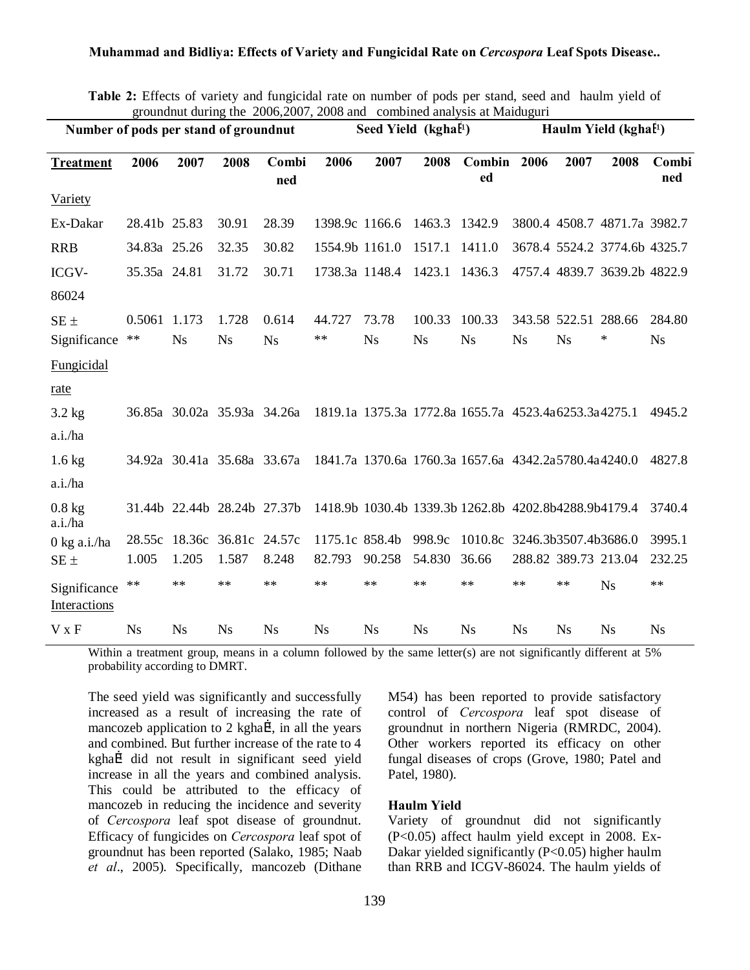### **Muhammad and Bidliya: Effects of Variety and Fungicidal Rate on** *Cercospora* **Leaf Spots Disease..**

| Number of pods per stand of groundnut |                      |           |                             | Seed Yield (kgha, <sup>1</sup> ) |                 |                              |                     | Haulm Yield (kgha, <sup>1</sup> )                    |           |                                   |                              |                     |
|---------------------------------------|----------------------|-----------|-----------------------------|----------------------------------|-----------------|------------------------------|---------------------|------------------------------------------------------|-----------|-----------------------------------|------------------------------|---------------------|
| <b>Treatment</b>                      | 2006                 | 2007      | 2008                        | Combi<br>ned                     | 2006            | 2007                         | 2008                | Combin 2006<br>ed                                    |           | 2007                              | 2008                         | Combi<br>ned        |
| Variety                               |                      |           |                             |                                  |                 |                              |                     |                                                      |           |                                   |                              |                     |
| Ex-Dakar                              | 28.41b 25.83         |           | 30.91                       | 28.39                            | 1398.9c 1166.6  |                              | 1463.3 1342.9       |                                                      |           |                                   | 3800.4 4508.7 4871.7a 3982.7 |                     |
| <b>RRB</b>                            | 34.83a 25.26         |           | 32.35                       | 30.82                            | 1554.9b 1161.0  |                              | 1517.1              | 1411.0                                               |           |                                   | 3678.4 5524.2 3774.6b 4325.7 |                     |
| ICGV-                                 | 35.35a 24.81         |           | 31.72                       | 30.71                            |                 | 1738.3a 1148.4 1423.1 1436.3 |                     |                                                      |           |                                   | 4757.4 4839.7 3639.2b 4822.9 |                     |
| 86024                                 |                      |           |                             |                                  |                 |                              |                     |                                                      |           |                                   |                              |                     |
| $SE \pm$<br>Significance              | 0.5061 1.173<br>$**$ | <b>Ns</b> | 1.728<br><b>Ns</b>          | 0.614<br><b>Ns</b>               | 44.727<br>$***$ | 73.78<br><b>Ns</b>           | 100.33<br><b>Ns</b> | 100.33<br><b>Ns</b>                                  | <b>Ns</b> | 343.58 522.51 288.66<br><b>Ns</b> | ∗                            | 284.80<br><b>Ns</b> |
| Fungicidal                            |                      |           |                             |                                  |                 |                              |                     |                                                      |           |                                   |                              |                     |
| rate                                  |                      |           |                             |                                  |                 |                              |                     |                                                      |           |                                   |                              |                     |
| $3.2$ kg                              |                      |           | 36.85a 30.02a 35.93a 34.26a |                                  |                 |                              |                     | 1819.1a 1375.3a 1772.8a 1655.7a 4523.4a6253.3a4275.1 |           |                                   |                              | 4945.2              |
| a.i./ha                               |                      |           |                             |                                  |                 |                              |                     |                                                      |           |                                   |                              |                     |
| $1.6 \text{ kg}$                      |                      |           | 34.92a 30.41a 35.68a 33.67a |                                  |                 |                              |                     | 1841.7a 1370.6a 1760.3a 1657.6a 4342.2a5780.4a4240.0 |           |                                   |                              | 4827.8              |
| a.i./ha                               |                      |           |                             |                                  |                 |                              |                     |                                                      |           |                                   |                              |                     |
| $0.8 \text{ kg}$<br>$a.i.$ /ha        |                      |           | 31.44b 22.44b 28.24b 27.37b |                                  |                 |                              |                     | 1418.9b 1030.4b 1339.3b 1262.8b 4202.8b4288.9b4179.4 |           |                                   |                              | 3740.4              |
| $0 \text{ kg a.i./ha}$                |                      |           | 28.55c 18.36c 36.81c 24.57c |                                  | 1175.1c 858.4b  |                              | 998.9c              | 1010.8c 3246.3b3507.4b3686.0                         |           |                                   |                              | 3995.1              |
| $SE \pm$                              | 1.005                | 1.205     | 1.587                       | 8.248                            | 82.793          | 90.258                       | 54.830              | 36.66                                                |           | 288.82 389.73 213.04              |                              | 232.25              |
| Significance<br>Interactions          | $**$                 | $**$      | $**$                        | **                               | $**$            | **                           | $**$                | **                                                   | **        | $**$                              | <b>Ns</b>                    | $**$                |
| V X F                                 | <b>Ns</b>            | <b>Ns</b> | <b>Ns</b>                   | <b>Ns</b>                        | <b>Ns</b>       | <b>Ns</b>                    | <b>Ns</b>           | <b>Ns</b>                                            | <b>Ns</b> | <b>Ns</b>                         | <b>Ns</b>                    | <b>Ns</b>           |

**Table 2:** Effects of variety and fungicidal rate on number of pods per stand, seed and haulm yield of groundnut during the 2006,2007, 2008 and combined analysis at Maiduguri

Within a treatment group, means in a column followed by the same letter(s) are not significantly different at 5% probability according to DMRT.

The seed yield was significantly and successfully increased as a result of increasing the rate of mancozeb application to  $2 \text{ kgha}$ ,<sup>1</sup>, in all the years and combined. But further increase of the rate to 4 kgha,<sup>1</sup> did not result in significant seed yield increase in all the years and combined analysis. This could be attributed to the efficacy of mancozeb in reducing the incidence and severity of *Cercospora* leaf spot disease of groundnut. Efficacy of fungicides on *Cercospora* leaf spot of groundnut has been reported (Salako, 1985; Naab *et al*., 2005). Specifically, mancozeb (Dithane M54) has been reported to provide satisfactory control of *Cercospora* leaf spot disease of groundnut in northern Nigeria (RMRDC, 2004). Other workers reported its efficacy on other fungal diseases of crops (Grove, 1980; Patel and Patel, 1980).

#### **Haulm Yield**

Variety of groundnut did not significantly (P<0.05) affect haulm yield except in 2008. Ex-Dakar yielded significantly (P<0.05) higher haulm than RRB and ICGV-86024. The haulm yields of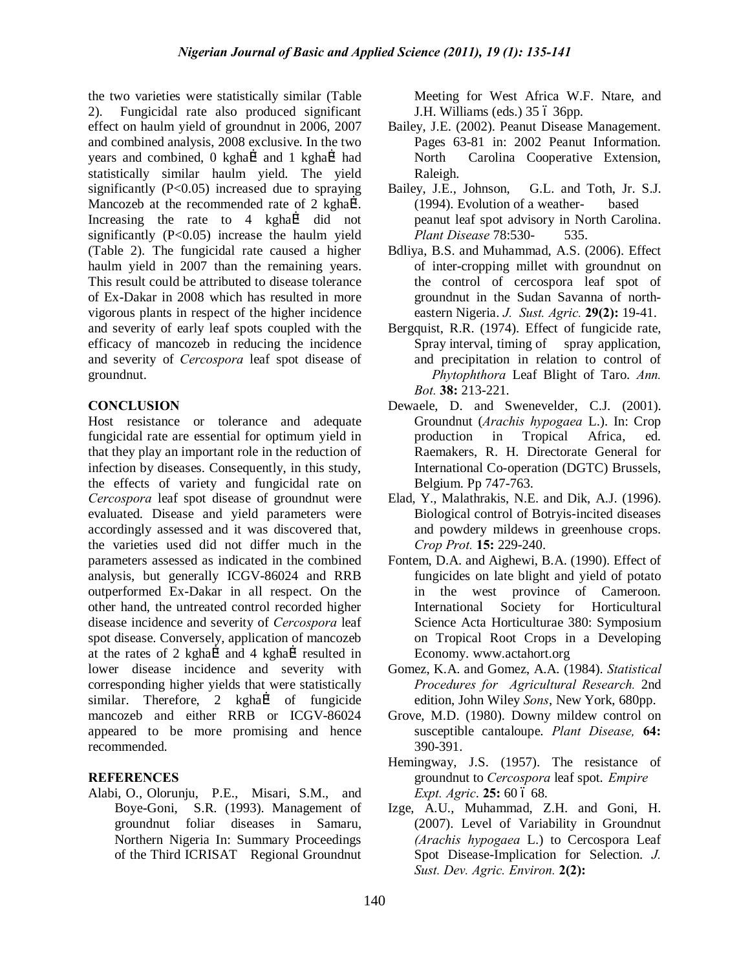the two varieties were statistically similar (Table 2). Fungicidal rate also produced significant effect on haulm yield of groundnut in 2006, 2007 and combined analysis, 2008 exclusive. In the two years and combined,  $0 \text{ kgha}$ <sup>1</sup> and 1 kgha<sup>1</sup> had statistically similar haulm yield. The yield significantly  $(P<0.05)$  increased due to spraying Mancozeb at the recommended rate of 2 kgha,<sup>1</sup>. Increasing the rate to  $4$  kgha,<sup>1</sup> did not significantly  $(P<0.05)$  increase the haulm yield (Table 2). The fungicidal rate caused a higher haulm yield in 2007 than the remaining years. This result could be attributed to disease tolerance of Ex-Dakar in 2008 which has resulted in more vigorous plants in respect of the higher incidence and severity of early leaf spots coupled with the efficacy of mancozeb in reducing the incidence and severity of *Cercospora* leaf spot disease of groundnut.

## **CONCLUSION**

Host resistance or tolerance and adequate fungicidal rate are essential for optimum yield in that they play an important role in the reduction of infection by diseases. Consequently, in this study, the effects of variety and fungicidal rate on *Cercospora* leaf spot disease of groundnut were evaluated. Disease and yield parameters were accordingly assessed and it was discovered that, the varieties used did not differ much in the parameters assessed as indicated in the combined analysis, but generally ICGV-86024 and RRB outperformed Ex-Dakar in all respect. On the other hand, the untreated control recorded higher disease incidence and severity of *Cercospora* leaf spot disease. Conversely, application of mancozeb at the rates of 2 kgha,<sup>1</sup> and 4 kgha,<sup>1</sup> resulted in lower disease incidence and severity with corresponding higher yields that were statistically similar. Therefore,  $2 \text{ kgha}$ , of fungicide mancozeb and either RRB or ICGV-86024 appeared to be more promising and hence recommended.

### **REFERENCES**

Alabi, O., Olorunju, P.E., Misari, S.M., and Boye-Goni, S.R. (1993). Management of groundnut foliar diseases in Samaru, Northern Nigeria In: Summary Proceedings of the Third ICRISAT Regional Groundnut Meeting for West Africa W.F. Ntare, and J.H. Williams (eds.)  $35\,6\,36$ pp.

- Bailey, J.E. (2002). Peanut Disease Management. Pages 63-81 in: 2002 Peanut Information. North Carolina Cooperative Extension, Raleigh.
- Bailey, J.E., Johnson, G.L. and Toth, Jr. S.J. (1994). Evolution of a weather- based peanut leaf spot advisory in North Carolina. *Plant Disease* 78:530- 535.
- Bdliya, B.S. and Muhammad, A.S. (2006). Effect of inter-cropping millet with groundnut on the control of cercospora leaf spot of groundnut in the Sudan Savanna of northeastern Nigeria. *J. Sust. Agric.* **29(2):** 19-41.
- Bergquist, R.R. (1974). Effect of fungicide rate, Spray interval, timing of spray application, and precipitation in relation to control of *Phytophthora* Leaf Blight of Taro. *Ann. Bot.* **38:** 213-221.
- Dewaele, D. and Swenevelder, C.J. (2001). Groundnut (*Arachis hypogaea* L.). In: Crop production in Tropical Africa, ed. Raemakers, R. H. Directorate General for International Co-operation (DGTC) Brussels, Belgium. Pp 747-763.
- Elad, Y., Malathrakis, N.E. and Dik, A.J. (1996). Biological control of Botryis-incited diseases and powdery mildews in greenhouse crops. *Crop Prot.* **15:** 229-240.
- Fontem, D.A. and Aighewi, B.A. (1990). Effect of fungicides on late blight and yield of potato in the west province of Cameroon. International Society for Horticultural Science Acta Horticulturae 380: Symposium on Tropical Root Crops in a Developing Economy. [www.actahort.org](http://www.actahort.org/)
- Gomez, K.A. and Gomez, A.A. (1984). *Statistical Procedures for Agricultural Research.* 2nd edition, John Wiley *Sons*, New York, 680pp.
- Grove, M.D. (1980). Downy mildew control on susceptible cantaloupe. *Plant Disease,* **64:** 390-391.
- Hemingway, J.S. (1957). The resistance of groundnut to *Cercospora* leaf spot. *Empire Expt. Agric*. **25:** 60  $\acute{o}$  68.
- Izge, A.U., Muhammad, Z.H. and Goni, H. (2007). Level of Variability in Groundnut *(Arachis hypogaea* L.) to Cercospora Leaf Spot Disease-Implication for Selection. *J. Sust. Dev. Agric. Environ.* **2(2):**